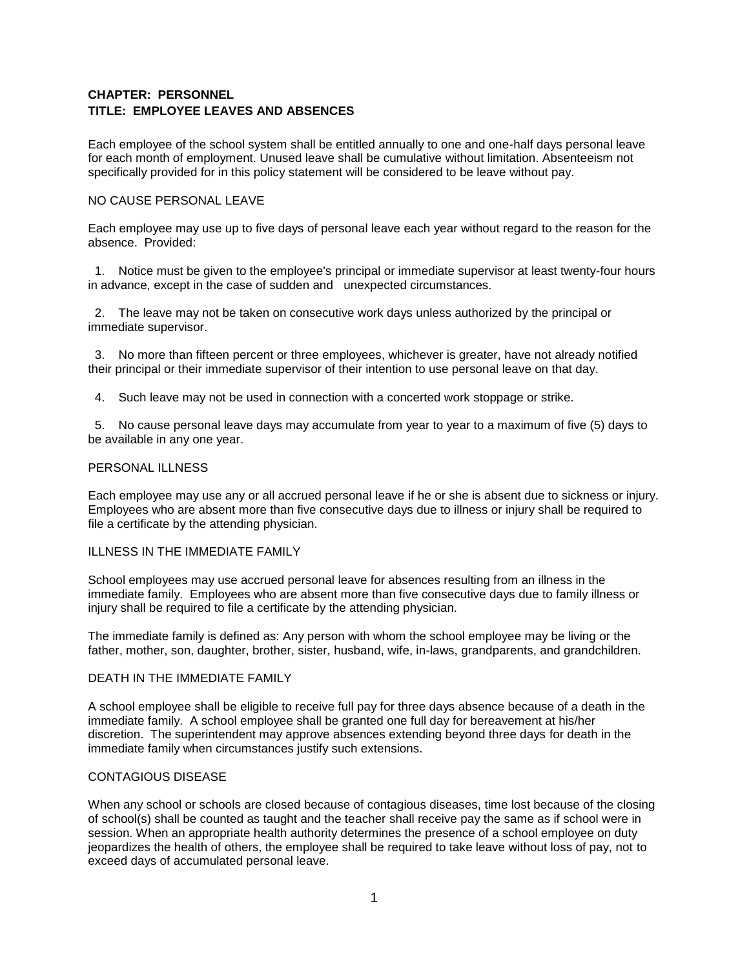# **CHAPTER: PERSONNEL TITLE: EMPLOYEE LEAVES AND ABSENCES**

Each employee of the school system shall be entitled annually to one and one-half days personal leave for each month of employment. Unused leave shall be cumulative without limitation. Absenteeism not specifically provided for in this policy statement will be considered to be leave without pay.

## NO CAUSE PERSONAL LEAVE

Each employee may use up to five days of personal leave each year without regard to the reason for the absence. Provided:

1. Notice must be given to the employee's principal or immediate supervisor at least twenty-four hours in advance, except in the case of sudden and unexpected circumstances.

2. The leave may not be taken on consecutive work days unless authorized by the principal or immediate supervisor.

3. No more than fifteen percent or three employees, whichever is greater, have not already notified their principal or their immediate supervisor of their intention to use personal leave on that day.

4. Such leave may not be used in connection with a concerted work stoppage or strike.

5. No cause personal leave days may accumulate from year to year to a maximum of five (5) days to be available in any one year.

## PERSONAL ILLNESS

Each employee may use any or all accrued personal leave if he or she is absent due to sickness or injury. Employees who are absent more than five consecutive days due to illness or injury shall be required to file a certificate by the attending physician.

### ILLNESS IN THE IMMEDIATE FAMILY

School employees may use accrued personal leave for absences resulting from an illness in the immediate family. Employees who are absent more than five consecutive days due to family illness or injury shall be required to file a certificate by the attending physician.

The immediate family is defined as: Any person with whom the school employee may be living or the father, mother, son, daughter, brother, sister, husband, wife, in-laws, grandparents, and grandchildren.

## DEATH IN THE IMMEDIATE FAMILY

A school employee shall be eligible to receive full pay for three days absence because of a death in the immediate family. A school employee shall be granted one full day for bereavement at his/her discretion. The superintendent may approve absences extending beyond three days for death in the immediate family when circumstances justify such extensions.

### CONTAGIOUS DISEASE

When any school or schools are closed because of contagious diseases, time lost because of the closing of school(s) shall be counted as taught and the teacher shall receive pay the same as if school were in session. When an appropriate health authority determines the presence of a school employee on duty jeopardizes the health of others, the employee shall be required to take leave without loss of pay, not to exceed days of accumulated personal leave.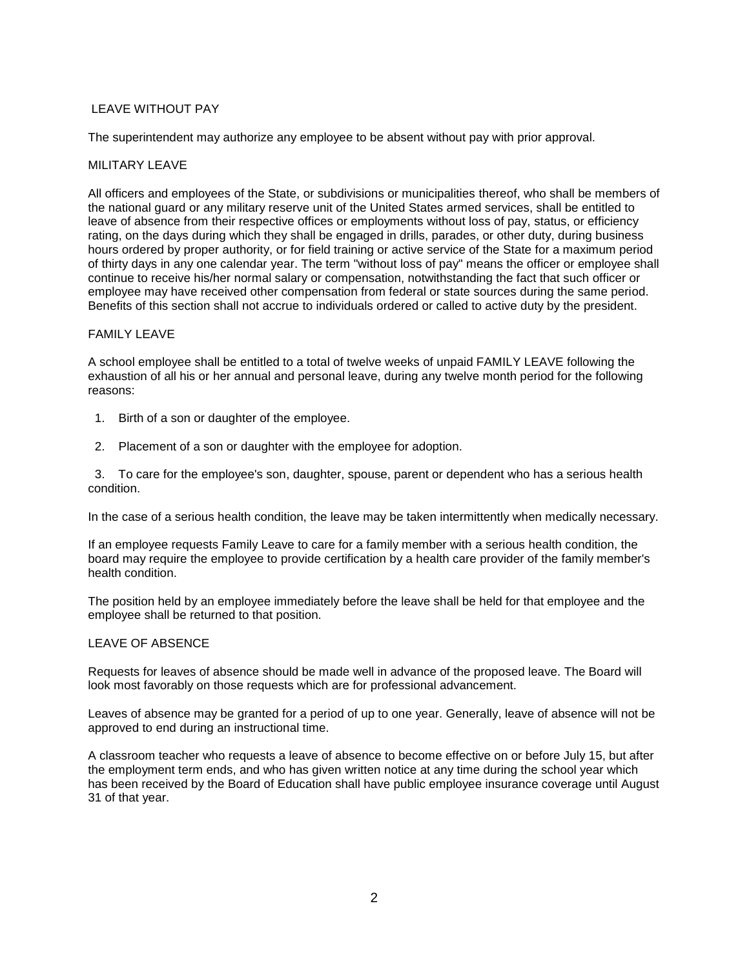## LEAVE WITHOUT PAY

The superintendent may authorize any employee to be absent without pay with prior approval.

### MILITARY LEAVE

All officers and employees of the State, or subdivisions or municipalities thereof, who shall be members of the national guard or any military reserve unit of the United States armed services, shall be entitled to leave of absence from their respective offices or employments without loss of pay, status, or efficiency rating, on the days during which they shall be engaged in drills, parades, or other duty, during business hours ordered by proper authority, or for field training or active service of the State for a maximum period of thirty days in any one calendar year. The term "without loss of pay" means the officer or employee shall continue to receive his/her normal salary or compensation, notwithstanding the fact that such officer or employee may have received other compensation from federal or state sources during the same period. Benefits of this section shall not accrue to individuals ordered or called to active duty by the president.

#### FAMILY LEAVE

A school employee shall be entitled to a total of twelve weeks of unpaid FAMILY LEAVE following the exhaustion of all his or her annual and personal leave, during any twelve month period for the following reasons:

- 1. Birth of a son or daughter of the employee.
- 2. Placement of a son or daughter with the employee for adoption.

3. To care for the employee's son, daughter, spouse, parent or dependent who has a serious health condition.

In the case of a serious health condition, the leave may be taken intermittently when medically necessary.

If an employee requests Family Leave to care for a family member with a serious health condition, the board may require the employee to provide certification by a health care provider of the family member's health condition.

The position held by an employee immediately before the leave shall be held for that employee and the employee shall be returned to that position.

#### LEAVE OF ABSENCE

Requests for leaves of absence should be made well in advance of the proposed leave. The Board will look most favorably on those requests which are for professional advancement.

Leaves of absence may be granted for a period of up to one year. Generally, leave of absence will not be approved to end during an instructional time.

A classroom teacher who requests a leave of absence to become effective on or before July 15, but after the employment term ends, and who has given written notice at any time during the school year which has been received by the Board of Education shall have public employee insurance coverage until August 31 of that year.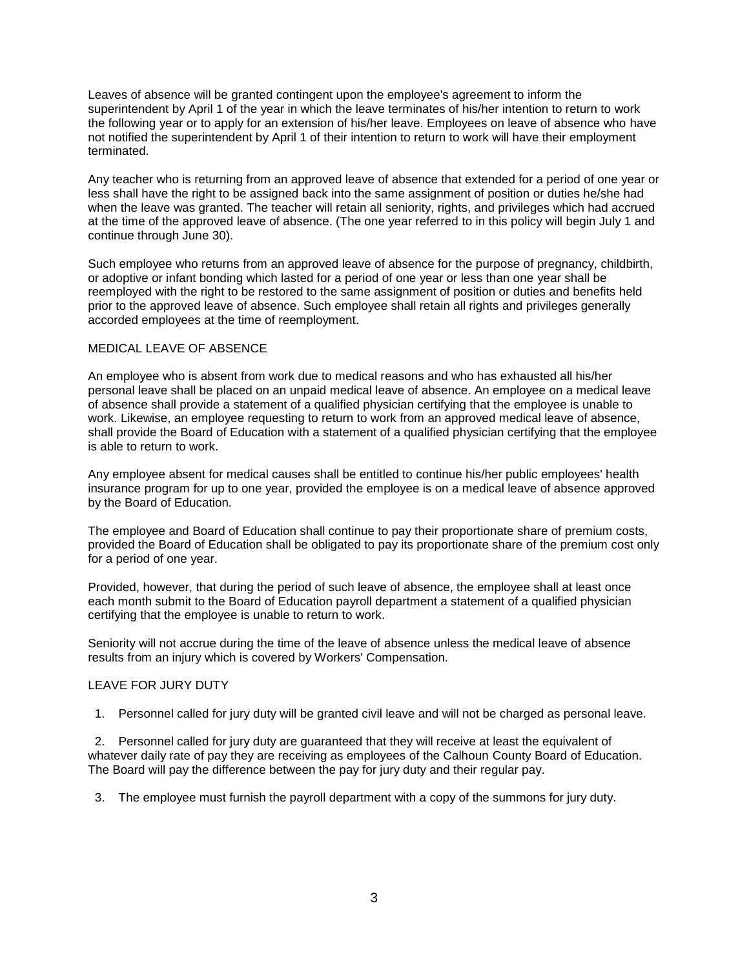Leaves of absence will be granted contingent upon the employee's agreement to inform the superintendent by April 1 of the year in which the leave terminates of his/her intention to return to work the following year or to apply for an extension of his/her leave. Employees on leave of absence who have not notified the superintendent by April 1 of their intention to return to work will have their employment terminated.

Any teacher who is returning from an approved leave of absence that extended for a period of one year or less shall have the right to be assigned back into the same assignment of position or duties he/she had when the leave was granted. The teacher will retain all seniority, rights, and privileges which had accrued at the time of the approved leave of absence. (The one year referred to in this policy will begin July 1 and continue through June 30).

Such employee who returns from an approved leave of absence for the purpose of pregnancy, childbirth, or adoptive or infant bonding which lasted for a period of one year or less than one year shall be reemployed with the right to be restored to the same assignment of position or duties and benefits held prior to the approved leave of absence. Such employee shall retain all rights and privileges generally accorded employees at the time of reemployment.

#### MEDICAL LEAVE OF ABSENCE

An employee who is absent from work due to medical reasons and who has exhausted all his/her personal leave shall be placed on an unpaid medical leave of absence. An employee on a medical leave of absence shall provide a statement of a qualified physician certifying that the employee is unable to work. Likewise, an employee requesting to return to work from an approved medical leave of absence, shall provide the Board of Education with a statement of a qualified physician certifying that the employee is able to return to work.

Any employee absent for medical causes shall be entitled to continue his/her public employees' health insurance program for up to one year, provided the employee is on a medical leave of absence approved by the Board of Education.

The employee and Board of Education shall continue to pay their proportionate share of premium costs, provided the Board of Education shall be obligated to pay its proportionate share of the premium cost only for a period of one year.

Provided, however, that during the period of such leave of absence, the employee shall at least once each month submit to the Board of Education payroll department a statement of a qualified physician certifying that the employee is unable to return to work.

Seniority will not accrue during the time of the leave of absence unless the medical leave of absence results from an injury which is covered by Workers' Compensation.

### LEAVE FOR JURY DUTY

1. Personnel called for jury duty will be granted civil leave and will not be charged as personal leave.

2. Personnel called for jury duty are guaranteed that they will receive at least the equivalent of whatever daily rate of pay they are receiving as employees of the Calhoun County Board of Education. The Board will pay the difference between the pay for jury duty and their regular pay.

3. The employee must furnish the payroll department with a copy of the summons for jury duty.